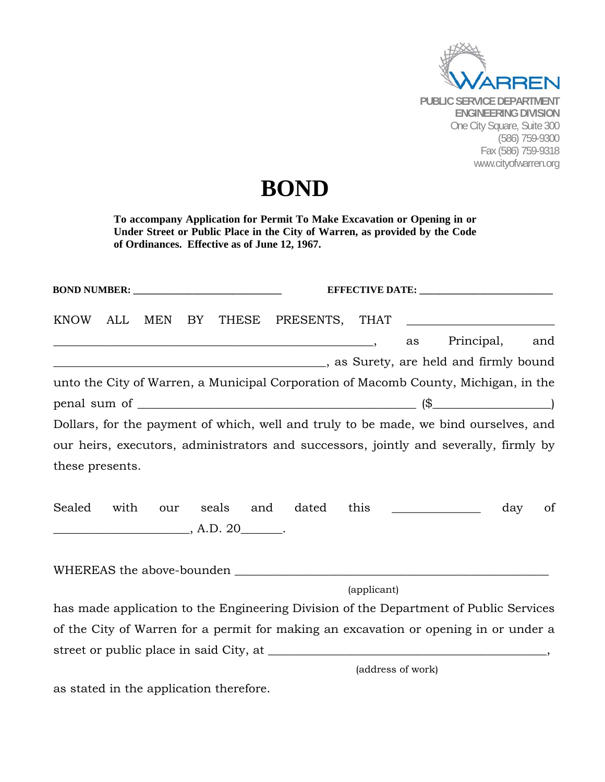

## **BOND**

**To accompany Application for Permit To Make Excavation or Opening in or Under Street or Public Place in the City of Warren, as provided by the Code of Ordinances. Effective as of June 12, 1967.** 

| <b>KNOW</b>     | ALL  | MEN BY |  |                                        |                            |             |    |                                                                                                                |     |     |
|-----------------|------|--------|--|----------------------------------------|----------------------------|-------------|----|----------------------------------------------------------------------------------------------------------------|-----|-----|
|                 |      |        |  |                                        |                            |             | as | Principal,                                                                                                     |     | and |
|                 |      |        |  |                                        |                            |             |    | as Surety, are held and firmly bound (200) and some series are sensitive to the series of the series of the se |     |     |
|                 |      |        |  |                                        |                            |             |    | unto the City of Warren, a Municipal Corporation of Macomb County, Michigan, in the                            |     |     |
|                 |      |        |  |                                        | $penal sum of _______$ (\$ |             |    |                                                                                                                |     |     |
|                 |      |        |  |                                        |                            |             |    | Dollars, for the payment of which, well and truly to be made, we bind ourselves, and                           |     |     |
|                 |      |        |  |                                        |                            |             |    | our heirs, executors, administrators and successors, jointly and severally, firmly by                          |     |     |
| these presents. |      |        |  |                                        |                            |             |    |                                                                                                                |     |     |
| Sealed          | with |        |  | $\overbrace{\hspace{2.5cm}}$ , A.D. 20 | our seals and dated        |             |    | this $\qquad \qquad$                                                                                           | day | of  |
|                 |      |        |  |                                        |                            |             |    |                                                                                                                |     |     |
|                 |      |        |  |                                        |                            | (applicant) |    |                                                                                                                |     |     |
|                 |      |        |  |                                        |                            |             |    | has made application to the Engineering Division of the Department of Public Services                          |     |     |
|                 |      |        |  |                                        |                            |             |    | of the City of Warren for a permit for making an excavation or opening in or under a                           |     |     |
|                 |      |        |  |                                        |                            |             |    |                                                                                                                |     |     |

(address of work)

as stated in the application therefore.